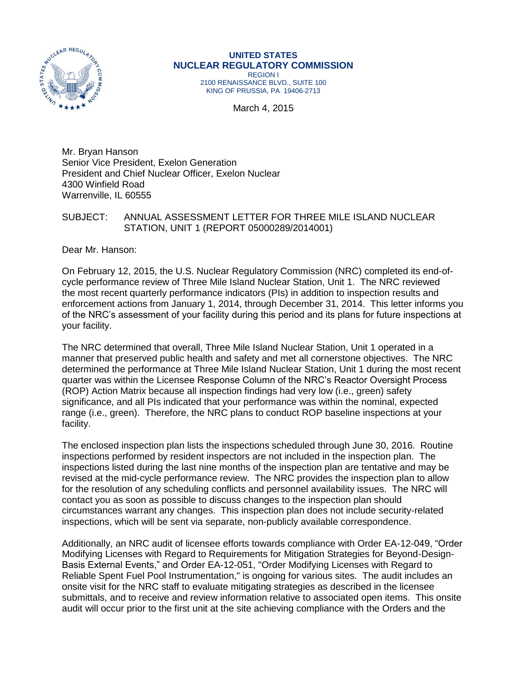

### **UNITED STATES NUCLEAR REGULATORY COMMISSION**

REGION I 2100 RENAISSANCE BLVD., SUITE 100 KING OF PRUSSIA, PA 19406-2713

March 4, 2015

Mr. Bryan Hanson Senior Vice President, Exelon Generation President and Chief Nuclear Officer, Exelon Nuclear 4300 Winfield Road Warrenville, IL 60555

#### SUBJECT: ANNUAL ASSESSMENT LETTER FOR THREE MILE ISLAND NUCLEAR STATION, UNIT 1 (REPORT 05000289/2014001)

Dear Mr. Hanson:

On February 12, 2015, the U.S. Nuclear Regulatory Commission (NRC) completed its end-ofcycle performance review of Three Mile Island Nuclear Station, Unit 1. The NRC reviewed the most recent quarterly performance indicators (PIs) in addition to inspection results and enforcement actions from January 1, 2014, through December 31, 2014. This letter informs you of the NRC's assessment of your facility during this period and its plans for future inspections at your facility.

The NRC determined that overall, Three Mile Island Nuclear Station, Unit 1 operated in a manner that preserved public health and safety and met all cornerstone objectives. The NRC determined the performance at Three Mile Island Nuclear Station, Unit 1 during the most recent quarter was within the Licensee Response Column of the NRC's Reactor Oversight Process (ROP) Action Matrix because all inspection findings had very low (i.e., green) safety significance, and all PIs indicated that your performance was within the nominal, expected range (i.e., green). Therefore, the NRC plans to conduct ROP baseline inspections at your facility.

The enclosed inspection plan lists the inspections scheduled through June 30, 2016. Routine inspections performed by resident inspectors are not included in the inspection plan. The inspections listed during the last nine months of the inspection plan are tentative and may be revised at the mid-cycle performance review. The NRC provides the inspection plan to allow for the resolution of any scheduling conflicts and personnel availability issues. The NRC will contact you as soon as possible to discuss changes to the inspection plan should circumstances warrant any changes. This inspection plan does not include security-related inspections, which will be sent via separate, non-publicly available correspondence.

Additionally, an NRC audit of licensee efforts towards compliance with Order EA-12-049, "Order Modifying Licenses with Regard to Requirements for Mitigation Strategies for Beyond-Design-Basis External Events," and Order EA-12-051, "Order Modifying Licenses with Regard to Reliable Spent Fuel Pool Instrumentation," is ongoing for various sites. The audit includes an onsite visit for the NRC staff to evaluate mitigating strategies as described in the licensee submittals, and to receive and review information relative to associated open items. This onsite audit will occur prior to the first unit at the site achieving compliance with the Orders and the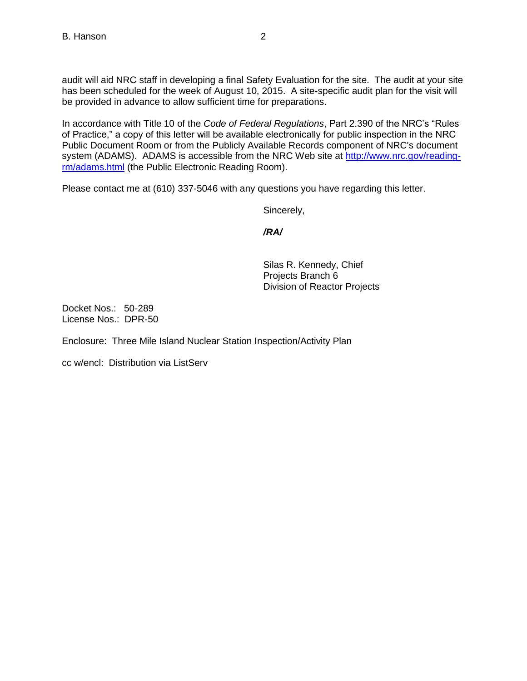audit will aid NRC staff in developing a final Safety Evaluation for the site. The audit at your site has been scheduled for the week of August 10, 2015. A site-specific audit plan for the visit will be provided in advance to allow sufficient time for preparations.

In accordance with Title 10 of the *Code of Federal Regulations*, Part 2.390 of the NRC's "Rules of Practice," a copy of this letter will be available electronically for public inspection in the NRC Public Document Room or from the Publicly Available Records component of NRC's document system (ADAMS). ADAMS is accessible from the NRC Web site at [http://www.nrc.gov/reading](http://www.nrc.gov/reading-rm/adams.html)[rm/adams.html](http://www.nrc.gov/reading-rm/adams.html) (the Public Electronic Reading Room).

Please contact me at (610) 337-5046 with any questions you have regarding this letter.

Sincerely,

*/RA/*

Silas R. Kennedy, Chief Projects Branch 6 Division of Reactor Projects

Docket Nos.: 50-289 License Nos.: DPR-50

Enclosure: Three Mile Island Nuclear Station Inspection/Activity Plan

cc w/encl: Distribution via ListServ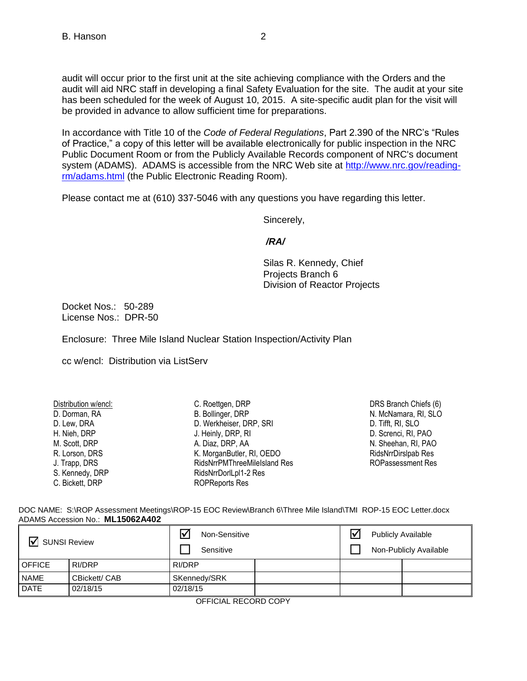audit will occur prior to the first unit at the site achieving compliance with the Orders and the audit will aid NRC staff in developing a final Safety Evaluation for the site. The audit at your site has been scheduled for the week of August 10, 2015. A site-specific audit plan for the visit will be provided in advance to allow sufficient time for preparations.

In accordance with Title 10 of the *Code of Federal Regulations*, Part 2.390 of the NRC's "Rules of Practice," a copy of this letter will be available electronically for public inspection in the NRC Public Document Room or from the Publicly Available Records component of NRC's document system (ADAMS). ADAMS is accessible from the NRC Web site at [http://www.nrc.gov/reading](http://www.nrc.gov/reading-rm/adams.html)[rm/adams.html](http://www.nrc.gov/reading-rm/adams.html) (the Public Electronic Reading Room).

Please contact me at (610) 337-5046 with any questions you have regarding this letter.

Sincerely,

#### */RA/*

Silas R. Kennedy, Chief Projects Branch 6 Division of Reactor Projects

Docket Nos.: 50-289 License Nos.: DPR-50

Enclosure: Three Mile Island Nuclear Station Inspection/Activity Plan

cc w/encl: Distribution via ListServ

| Distribution w/encl: | C. Roettgen, DRP             |
|----------------------|------------------------------|
| D. Dorman, RA        | B. Bollinger, DRP            |
| D. Lew, DRA          | D. Werkheiser, DRP, SRI      |
| H. Nieh, DRP         | J. Heinly, DRP, RI           |
| M. Scott, DRP        | A. Diaz, DRP, AA             |
| R. Lorson, DRS       | K. MorganButler, RI, OEDO    |
| J. Trapp, DRS        | RidsNrrPMThreeMileIsland Res |
| S. Kennedy, DRP      | RidsNrrDorlLpl1-2 Res        |
| C. Bickett, DRP      | <b>ROPReports Res</b>        |

DRS Branch Chiefs (6) N. McNamara, RI, SLO D. Tifft, RI, SLO D. Screnci, RI, PAO N. Sheehan, RI, PAO [RidsNrrDirslpab Res](mailto:RidsNrrDirslpab@nrc.gov) ROPassessment Res

DOC NAME: S:\ROP Assessment Meetings\ROP-15 EOC Review\Branch 6\Three Mile Island\TMI ROP-15 EOC Letter.docx ADAMS Accession No.: **ML15062A402** 

| ∇<br><b>SUNSI Review</b> |               | Non-Sensitive<br>Sensitive |  | <b>Publicly Available</b><br>Non-Publicly Available |  |
|--------------------------|---------------|----------------------------|--|-----------------------------------------------------|--|
| <b>OFFICE</b>            | RI/DRP        | RI/DRP                     |  |                                                     |  |
| <b>NAME</b>              | CBickett/ CAB | SKennedy/SRK               |  |                                                     |  |
| <b>DATE</b>              | 02/18/15      | 02/18/15                   |  |                                                     |  |

OFFICIAL RECORD COPY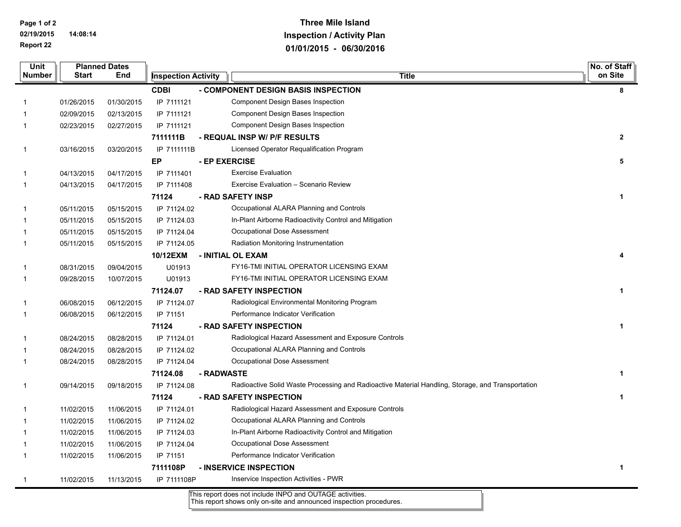**Page 1 of 2 02/19/2015 14:08:14 Report 22**

## **Three Mile Island Inspection / Activity Plan 01/01/2015 - 06/30/2016**

| Unit         |              | <b>Planned Dates</b> |                            |                                                                                                   | No. of Staff |
|--------------|--------------|----------------------|----------------------------|---------------------------------------------------------------------------------------------------|--------------|
| Number       | <b>Start</b> | End                  | <b>Inspection Activity</b> | <b>Title</b>                                                                                      | on Site      |
|              |              |                      | <b>CDBI</b>                | - COMPONENT DESIGN BASIS INSPECTION                                                               | 8            |
| 1            | 01/26/2015   | 01/30/2015           | IP 7111121                 | Component Design Bases Inspection                                                                 |              |
| 1            | 02/09/2015   | 02/13/2015           | IP 7111121                 | Component Design Bases Inspection                                                                 |              |
| 1            | 02/23/2015   | 02/27/2015           | IP 7111121                 | Component Design Bases Inspection                                                                 |              |
|              |              |                      | 7111111B                   | - REQUAL INSP W/ P/F RESULTS                                                                      | $\mathbf{2}$ |
| 1            | 03/16/2015   | 03/20/2015           | IP 7111111B                | Licensed Operator Requalification Program                                                         |              |
|              |              |                      | EP                         | - EP EXERCISE                                                                                     | 5            |
| 1            | 04/13/2015   | 04/17/2015           | IP 7111401                 | <b>Exercise Evaluation</b>                                                                        |              |
| 1            | 04/13/2015   | 04/17/2015           | IP 7111408                 | Exercise Evaluation - Scenario Review                                                             |              |
|              |              |                      | 71124                      | - RAD SAFETY INSP                                                                                 | 1            |
| 1            | 05/11/2015   | 05/15/2015           | IP 71124.02                | Occupational ALARA Planning and Controls                                                          |              |
| 1            | 05/11/2015   | 05/15/2015           | IP 71124.03                | In-Plant Airborne Radioactivity Control and Mitigation                                            |              |
| 1            | 05/11/2015   | 05/15/2015           | IP 71124.04                | Occupational Dose Assessment                                                                      |              |
| 1            | 05/11/2015   | 05/15/2015           | IP 71124.05                | Radiation Monitoring Instrumentation                                                              |              |
|              |              |                      | 10/12EXM                   | - INITIAL OL EXAM                                                                                 |              |
| $\mathbf{1}$ | 08/31/2015   | 09/04/2015           | U01913                     | FY16-TMI INITIAL OPERATOR LICENSING EXAM                                                          |              |
| 1            | 09/28/2015   | 10/07/2015           | U01913                     | FY16-TMI INITIAL OPERATOR LICENSING EXAM                                                          |              |
|              |              |                      | 71124.07                   | - RAD SAFETY INSPECTION                                                                           | 1            |
| 1            | 06/08/2015   | 06/12/2015           | IP 71124.07                | Radiological Environmental Monitoring Program                                                     |              |
| $\mathbf{1}$ | 06/08/2015   | 06/12/2015           | IP 71151                   | Performance Indicator Verification                                                                |              |
|              |              |                      | 71124                      | - RAD SAFETY INSPECTION                                                                           | 1            |
| 1            | 08/24/2015   | 08/28/2015           | IP 71124.01                | Radiological Hazard Assessment and Exposure Controls                                              |              |
| 1            | 08/24/2015   | 08/28/2015           | IP 71124.02                | Occupational ALARA Planning and Controls                                                          |              |
| 1            | 08/24/2015   | 08/28/2015           | IP 71124.04                | Occupational Dose Assessment                                                                      |              |
|              |              |                      | 71124.08                   | - RADWASTE                                                                                        | 1            |
| 1            | 09/14/2015   | 09/18/2015           | IP 71124.08                | Radioactive Solid Waste Processing and Radioactive Material Handling, Storage, and Transportation |              |
|              |              |                      | 71124                      | - RAD SAFETY INSPECTION                                                                           | 1            |
| 1            | 11/02/2015   | 11/06/2015           | IP 71124.01                | Radiological Hazard Assessment and Exposure Controls                                              |              |
| 1            | 11/02/2015   | 11/06/2015           | IP 71124.02                | Occupational ALARA Planning and Controls                                                          |              |
| 1            | 11/02/2015   | 11/06/2015           | IP 71124.03                | In-Plant Airborne Radioactivity Control and Mitigation                                            |              |
| 1            | 11/02/2015   | 11/06/2015           | IP 71124.04                | Occupational Dose Assessment                                                                      |              |
| $\mathbf{1}$ | 11/02/2015   | 11/06/2015           | IP 71151                   | Performance Indicator Verification                                                                |              |
|              |              |                      | 7111108P                   | - INSERVICE INSPECTION                                                                            | 1            |
| $\mathbf{1}$ | 11/02/2015   | 11/13/2015           | IP 7111108P                | Inservice Inspection Activities - PWR                                                             |              |

This report does not include INPO and OUTAGE activities. This report shows only on-site and announced inspection procedures.